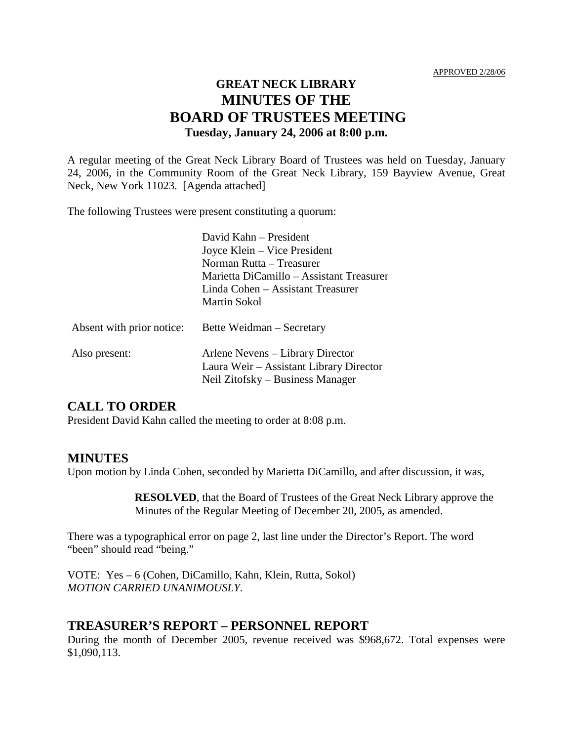# **GREAT NECK LIBRARY MINUTES OF THE BOARD OF TRUSTEES MEETING Tuesday, January 24, 2006 at 8:00 p.m.**

A regular meeting of the Great Neck Library Board of Trustees was held on Tuesday, January 24, 2006, in the Community Room of the Great Neck Library, 159 Bayview Avenue, Great Neck, New York 11023. [Agenda attached]

The following Trustees were present constituting a quorum:

|                           | David Kahn – President<br>Joyce Klein – Vice President<br>Norman Rutta – Treasurer<br>Marietta DiCamillo – Assistant Treasurer<br>Linda Cohen – Assistant Treasurer<br>Martin Sokol |
|---------------------------|-------------------------------------------------------------------------------------------------------------------------------------------------------------------------------------|
| Absent with prior notice: | Bette Weidman – Secretary                                                                                                                                                           |
| Also present:             | Arlene Nevens – Library Director<br>Laura Weir – Assistant Library Director<br>Neil Zitofsky – Business Manager                                                                     |

### **CALL TO ORDER**

President David Kahn called the meeting to order at 8:08 p.m.

#### **MINUTES**

Upon motion by Linda Cohen, seconded by Marietta DiCamillo, and after discussion, it was,

**RESOLVED**, that the Board of Trustees of the Great Neck Library approve the Minutes of the Regular Meeting of December 20, 2005, as amended.

There was a typographical error on page 2, last line under the Director's Report. The word "been" should read "being."

VOTE:Yes – 6 (Cohen, DiCamillo, Kahn, Klein, Rutta, Sokol) *MOTION CARRIED UNANIMOUSLY.*

#### **TREASURER'S REPORT – PERSONNEL REPORT**

During the month of December 2005, revenue received was \$968,672. Total expenses were \$1,090,113.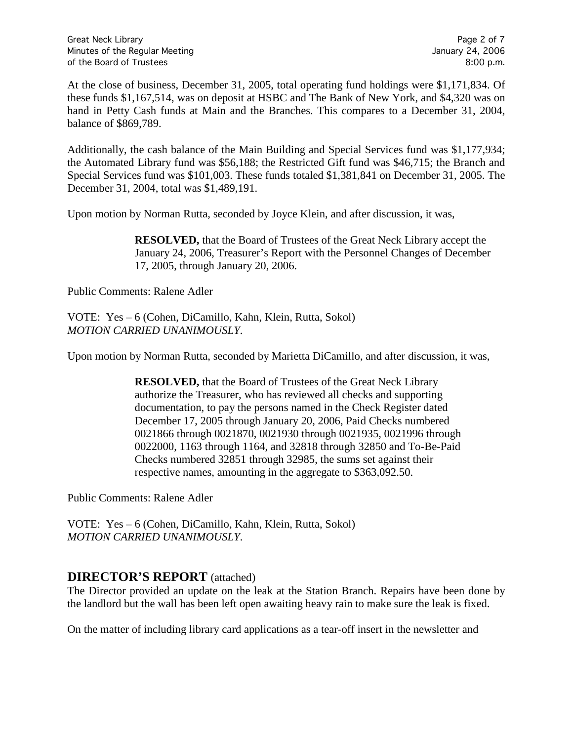At the close of business, December 31, 2005, total operating fund holdings were \$1,171,834. Of these funds \$1,167,514, was on deposit at HSBC and The Bank of New York, and \$4,320 was on hand in Petty Cash funds at Main and the Branches. This compares to a December 31, 2004, balance of \$869,789.

Additionally, the cash balance of the Main Building and Special Services fund was \$1,177,934; the Automated Library fund was \$56,188; the Restricted Gift fund was \$46,715; the Branch and Special Services fund was \$101,003. These funds totaled \$1,381,841 on December 31, 2005. The December 31, 2004, total was \$1,489,191.

Upon motion by Norman Rutta, seconded by Joyce Klein, and after discussion, it was,

**RESOLVED,** that the Board of Trustees of the Great Neck Library accept the January 24, 2006, Treasurer's Report with the Personnel Changes of December 17, 2005, through January 20, 2006.

Public Comments: Ralene Adler

VOTE:Yes – 6 (Cohen, DiCamillo, Kahn, Klein, Rutta, Sokol) *MOTION CARRIED UNANIMOUSLY.*

Upon motion by Norman Rutta, seconded by Marietta DiCamillo, and after discussion, it was,

**RESOLVED,** that the Board of Trustees of the Great Neck Library authorize the Treasurer, who has reviewed all checks and supporting documentation, to pay the persons named in the Check Register dated December 17, 2005 through January 20, 2006, Paid Checks numbered 0021866 through 0021870, 0021930 through 0021935, 0021996 through 0022000, 1163 through 1164, and 32818 through 32850 and To-Be-Paid Checks numbered 32851 through 32985, the sums set against their respective names, amounting in the aggregate to \$363,092.50.

Public Comments: Ralene Adler

VOTE:Yes – 6 (Cohen, DiCamillo, Kahn, Klein, Rutta, Sokol) *MOTION CARRIED UNANIMOUSLY.*

### **DIRECTOR'S REPORT** (attached)

The Director provided an update on the leak at the Station Branch. Repairs have been done by the landlord but the wall has been left open awaiting heavy rain to make sure the leak is fixed.

On the matter of including library card applications as a tear-off insert in the newsletter and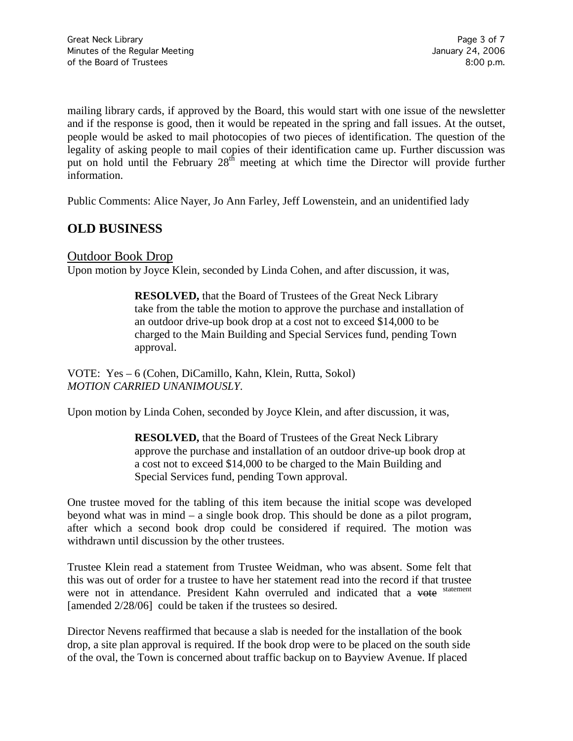mailing library cards, if approved by the Board, this would start with one issue of the newsletter and if the response is good, then it would be repeated in the spring and fall issues. At the outset, people would be asked to mail photocopies of two pieces of identification. The question of the legality of asking people to mail copies of their identification came up. Further discussion was put on hold until the February  $28<sup>th</sup>$  meeting at which time the Director will provide further information.

Public Comments: Alice Nayer, Jo Ann Farley, Jeff Lowenstein, and an unidentified lady

# **OLD BUSINESS**

#### Outdoor Book Drop

Upon motion by Joyce Klein, seconded by Linda Cohen, and after discussion, it was,

**RESOLVED,** that the Board of Trustees of the Great Neck Library take from the table the motion to approve the purchase and installation of an outdoor drive-up book drop at a cost not to exceed \$14,000 to be charged to the Main Building and Special Services fund, pending Town approval.

VOTE:Yes – 6 (Cohen, DiCamillo, Kahn, Klein, Rutta, Sokol) *MOTION CARRIED UNANIMOUSLY.*

Upon motion by Linda Cohen, seconded by Joyce Klein, and after discussion, it was,

**RESOLVED,** that the Board of Trustees of the Great Neck Library approve the purchase and installation of an outdoor drive-up book drop at a cost not to exceed \$14,000 to be charged to the Main Building and Special Services fund, pending Town approval.

One trustee moved for the tabling of this item because the initial scope was developed beyond what was in mind – a single book drop. This should be done as a pilot program, after which a second book drop could be considered if required. The motion was withdrawn until discussion by the other trustees.

Trustee Klein read a statement from Trustee Weidman, who was absent. Some felt that this was out of order for a trustee to have her statement read into the record if that trustee were not in attendance. President Kahn overruled and indicated that a vote statement [amended  $2/28/06$ ] could be taken if the trustees so desired.

Director Nevens reaffirmed that because a slab is needed for the installation of the book drop, a site plan approval is required. If the book drop were to be placed on the south side of the oval, the Town is concerned about traffic backup on to Bayview Avenue. If placed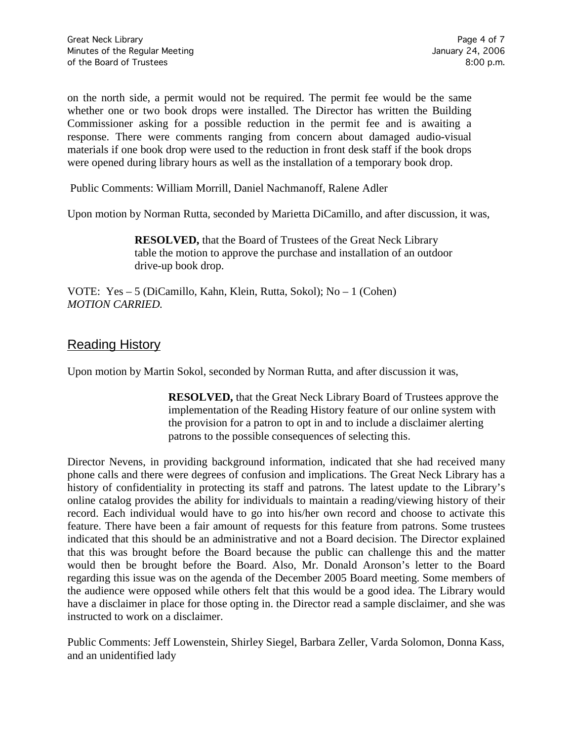on the north side, a permit would not be required. The permit fee would be the same whether one or two book drops were installed. The Director has written the Building Commissioner asking for a possible reduction in the permit fee and is awaiting a response. There were comments ranging from concern about damaged audio-visual materials if one book drop were used to the reduction in front desk staff if the book drops were opened during library hours as well as the installation of a temporary book drop.

Public Comments: William Morrill, Daniel Nachmanoff, Ralene Adler

Upon motion by Norman Rutta, seconded by Marietta DiCamillo, and after discussion, it was,

**RESOLVED,** that the Board of Trustees of the Great Neck Library table the motion to approve the purchase and installation of an outdoor drive-up book drop.

VOTE:Yes – 5 (DiCamillo, Kahn, Klein, Rutta, Sokol); No – 1 (Cohen) *MOTION CARRIED.*

### Reading History

Upon motion by Martin Sokol, seconded by Norman Rutta, and after discussion it was,

**RESOLVED,** that the Great Neck Library Board of Trustees approve the implementation of the Reading History feature of our online system with the provision for a patron to opt in and to include a disclaimer alerting patrons to the possible consequences of selecting this.

Director Nevens, in providing background information, indicated that she had received many phone calls and there were degrees of confusion and implications. The Great Neck Library has a history of confidentiality in protecting its staff and patrons. The latest update to the Library's online catalog provides the ability for individuals to maintain a reading/viewing history of their record. Each individual would have to go into his/her own record and choose to activate this feature. There have been a fair amount of requests for this feature from patrons. Some trustees indicated that this should be an administrative and not a Board decision. The Director explained that this was brought before the Board because the public can challenge this and the matter would then be brought before the Board. Also, Mr. Donald Aronson's letter to the Board regarding this issue was on the agenda of the December 2005 Board meeting. Some members of the audience were opposed while others felt that this would be a good idea. The Library would have a disclaimer in place for those opting in. the Director read a sample disclaimer, and she was instructed to work on a disclaimer.

Public Comments: Jeff Lowenstein, Shirley Siegel, Barbara Zeller, Varda Solomon, Donna Kass, and an unidentified lady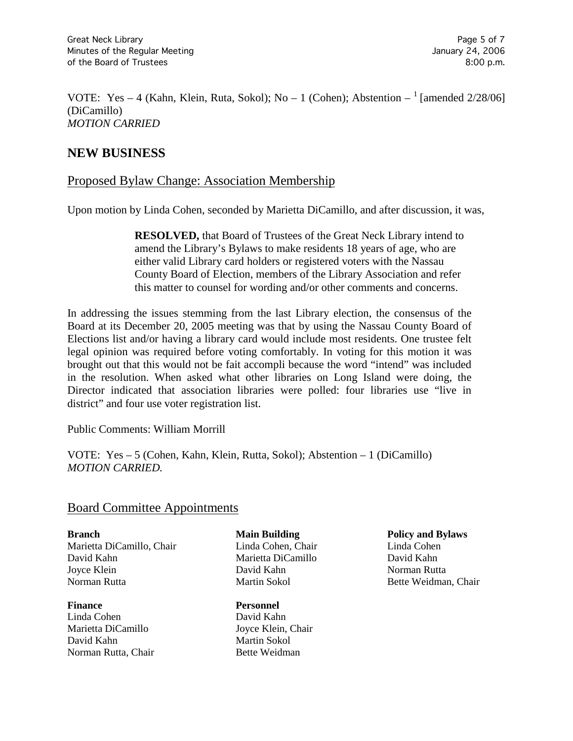VOTE: Yes  $-4$  (Kahn, Klein, Ruta, Sokol); No  $-1$  (Cohen); Abstention  $-$ <sup>1</sup> [amended 2/28/06] (DiCamillo) *MOTION CARRIED*

### **NEW BUSINESS**

#### Proposed Bylaw Change: Association Membership

Upon motion by Linda Cohen, seconded by Marietta DiCamillo, and after discussion, it was,

**RESOLVED,** that Board of Trustees of the Great Neck Library intend to amend the Library's Bylaws to make residents 18 years of age, who are either valid Library card holders or registered voters with the Nassau County Board of Election, members of the Library Association and refer this matter to counsel for wording and/or other comments and concerns.

In addressing the issues stemming from the last Library election, the consensus of the Board at its December 20, 2005 meeting was that by using the Nassau County Board of Elections list and/or having a library card would include most residents. One trustee felt legal opinion was required before voting comfortably. In voting for this motion it was brought out that this would not be fait accompli because the word "intend" was included in the resolution. When asked what other libraries on Long Island were doing, the Director indicated that association libraries were polled: four libraries use "live in district" and four use voter registration list.

Public Comments: William Morrill

VOTE:Yes – 5 (Cohen, Kahn, Klein, Rutta, Sokol); Abstention – 1 (DiCamillo) *MOTION CARRIED.*

#### Board Committee Appointments

**Branch Main Building Policy and Bylaws** Marietta DiCamillo, Chair Linda Cohen, Chair Linda Cohen David Kahn Marietta DiCamillo David Kahn Joyce Klein **David Kahn** Norman Rutta Norman Rutta **Martin Sokol Bette Weidman, Chair** Bokol Bette Weidman, Chair

**Finance** Personnel Linda Cohen David Kahn Marietta DiCamillo Joyce Klein, Chair David Kahn Martin Sokol Norman Rutta, Chair **Bette Weidman**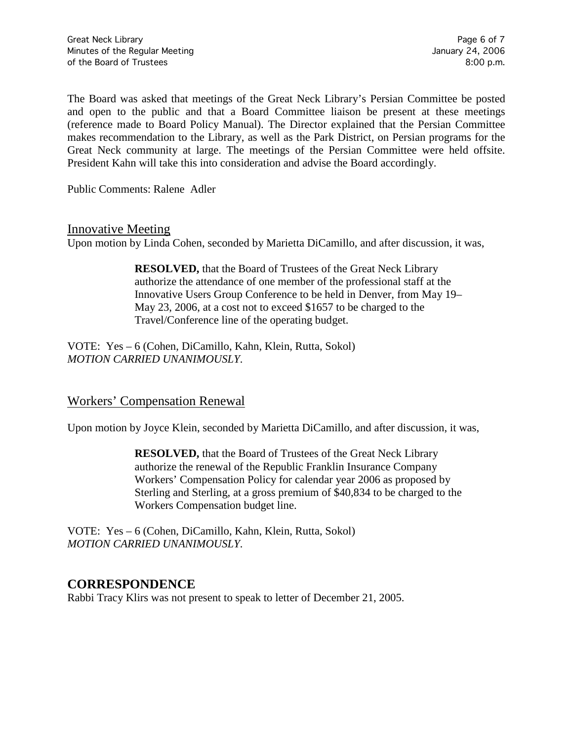The Board was asked that meetings of the Great Neck Library's Persian Committee be posted and open to the public and that a Board Committee liaison be present at these meetings (reference made to Board Policy Manual). The Director explained that the Persian Committee makes recommendation to the Library, as well as the Park District, on Persian programs for the Great Neck community at large. The meetings of the Persian Committee were held offsite. President Kahn will take this into consideration and advise the Board accordingly.

Public Comments: Ralene Adler

#### Innovative Meeting

Upon motion by Linda Cohen, seconded by Marietta DiCamillo, and after discussion, it was,

**RESOLVED,** that the Board of Trustees of the Great Neck Library authorize the attendance of one member of the professional staff at the Innovative Users Group Conference to be held in Denver, from May 19– May 23, 2006, at a cost not to exceed \$1657 to be charged to the Travel/Conference line of the operating budget.

VOTE:Yes – 6 (Cohen, DiCamillo, Kahn, Klein, Rutta, Sokol) *MOTION CARRIED UNANIMOUSLY.*

#### Workers' Compensation Renewal

Upon motion by Joyce Klein, seconded by Marietta DiCamillo, and after discussion, it was,

**RESOLVED,** that the Board of Trustees of the Great Neck Library authorize the renewal of the Republic Franklin Insurance Company Workers' Compensation Policy for calendar year 2006 as proposed by Sterling and Sterling, at a gross premium of \$40,834 to be charged to the Workers Compensation budget line.

VOTE:Yes – 6 (Cohen, DiCamillo, Kahn, Klein, Rutta, Sokol) *MOTION CARRIED UNANIMOUSLY.*

### **CORRESPONDENCE**

Rabbi Tracy Klirs was not present to speak to letter of December 21, 2005.